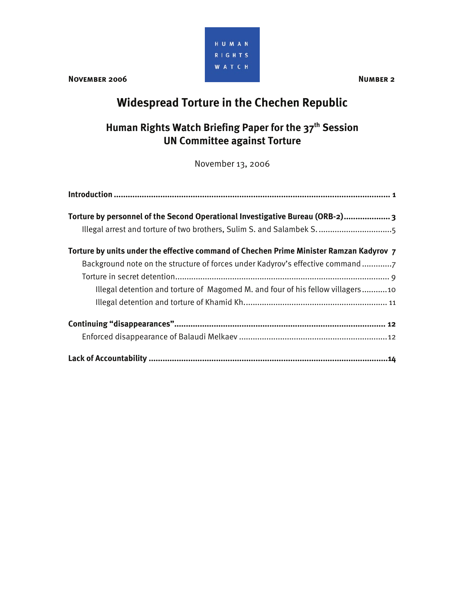**NOVEMBER 2006** NUMBER 2



# **Widespread Torture in the Chechen Republic**

# **Human Rights Watch Briefing Paper for the 37<sup>th</sup> Session UN Committee against Torture**

November 13, 2006

| Torture by personnel of the Second Operational Investigative Bureau (ORB-2) 3           |
|-----------------------------------------------------------------------------------------|
|                                                                                         |
| Torture by units under the effective command of Chechen Prime Minister Ramzan Kadyrov 7 |
| Background note on the structure of forces under Kadyrov's effective command7           |
|                                                                                         |
| Illegal detention and torture of Magomed M. and four of his fellow villagers10          |
|                                                                                         |
|                                                                                         |
|                                                                                         |
|                                                                                         |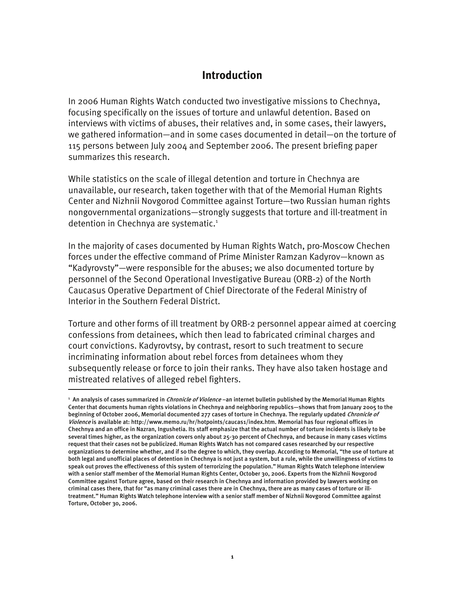### **Introduction**

In 2006 Human Rights Watch conducted two investigative missions to Chechnya, focusing specifically on the issues of torture and unlawful detention. Based on interviews with victims of abuses, their relatives and, in some cases, their lawyers, we gathered information—and in some cases documented in detail—on the torture of 115 persons between July 2004 and September 2006. The present briefing paper summarizes this research.

While statistics on the scale of illegal detention and torture in Chechnya are unavailable, our research, taken together with that of the Memorial Human Rights Center and Nizhnii Novgorod Committee against Torture—two Russian human rights nongovernmental organizations—strongly suggests that torture and ill-treatment in detention in Chechnya are systematic.<sup>1</sup>

In the majority of cases documented by Human Rights Watch, pro-Moscow Chechen forces under the effective command of Prime Minister Ramzan Kadyrov—known as "Kadyrovsty"—were responsible for the abuses; we also documented torture by personnel of the Second Operational Investigative Bureau (ORB-2) of the North Caucasus Operative Department of Chief Directorate of the Federal Ministry of Interior in the Southern Federal District.

Torture and other forms of ill treatment by ORB-2 personnel appear aimed at coercing confessions from detainees, which then lead to fabricated criminal charges and court convictions. Kadyrovtsy, by contrast, resort to such treatment to secure incriminating information about rebel forces from detainees whom they subsequently release or force to join their ranks. They have also taken hostage and mistreated relatives of alleged rebel fighters.

<sup>&</sup>lt;sup>1</sup> An analysis of cases summarized in *Chronicle of Violence* –an internet bulletin published by the Memorial Human Rights Center that documents human rights violations in Chechnya and neighboring republics—shows that from January 2005 to the beginning of October 2006, Memorial documented 277 cases of torture in Chechnya. The regularly updated Chronicle of Violence is available at: http://www.memo.ru/hr/hotpoints/caucas1/index.htm. Memorial has four regional offices in Chechnya and an office in Nazran, Ingushetia. Its staff emphasize that the actual number of torture incidents is likely to be several times higher, as the organization covers only about 25-30 percent of Chechnya, and because in many cases victims request that their cases not be publicized. Human Rights Watch has not compared cases researched by our respective organizations to determine whether, and if so the degree to which, they overlap. According to Memorial, "the use of torture at both legal and unofficial places of detention in Chechnya is not just a system, but a rule, while the unwillingness of victims to speak out proves the effectiveness of this system of terrorizing the population." Human Rights Watch telephone interview with a senior staff member of the Memorial Human Rights Center, October 30, 2006. Experts from the Nizhnii Novgorod Committee against Torture agree, based on their research in Chechnya and information provided by lawyers working on criminal cases there, that for "as many criminal cases there are in Chechnya, there are as many cases of torture or illtreatment." Human Rights Watch telephone interview with a senior staff member of Nizhnii Novgorod Committee against Torture, October 30, 2006.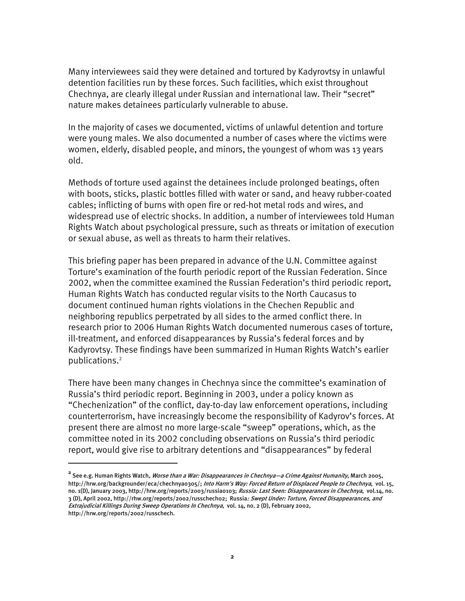Many interviewees said they were detained and tortured by Kadyrovtsy in unlawful detention facilities run by these forces. Such facilities, which exist throughout Chechnya, are clearly illegal under Russian and international law. Their "secret" nature makes detainees particularly vulnerable to abuse.

In the majority of cases we documented, victims of unlawful detention and torture were young males. We also documented a number of cases where the victims were women, elderly, disabled people, and minors, the youngest of whom was 13 years old.

Methods of torture used against the detainees include prolonged beatings, often with boots, sticks, plastic bottles filled with water or sand, and heavy rubber-coated cables; inflicting of burns with open fire or red-hot metal rods and wires, and widespread use of electric shocks. In addition, a number of interviewees told Human Rights Watch about psychological pressure, such as threats or imitation of execution or sexual abuse, as well as threats to harm their relatives.

This briefing paper has been prepared in advance of the U.N. Committee against Torture's examination of the fourth periodic report of the Russian Federation. Since 2002, when the committee examined the Russian Federation's third periodic report, Human Rights Watch has conducted regular visits to the North Caucasus to document continued human rights violations in the Chechen Republic and neighboring republics perpetrated by all sides to the armed conflict there. In research prior to 2006 Human Rights Watch documented numerous cases of torture, ill-treatment, and enforced disappearances by Russia's federal forces and by Kadyrovtsy. These findings have been summarized in Human Rights Watch's earlier publications.2

There have been many changes in Chechnya since the committee's examination of Russia's third periodic report. Beginning in 2003, under a policy known as "Chechenization" of the conflict, day-to-day law enforcement operations, including counterterrorism, have increasingly become the responsibility of Kadyrov's forces. At present there are almost no more large-scale "sweep" operations, which, as the committee noted in its 2002 concluding observations on Russia's third periodic report, would give rise to arbitrary detentions and "disappearances" by federal

**<sup>2</sup>** See e.g. Human Rights Watch, Worse than a War: Disappearances in Chechnya—a Crime Against Humanity, March 2005, http://hrw.org/backgrounder/eca/chechnya0305/; Into Harm's Way: Forced Return of Displaced People to Chechnya, vol. 15, no. 1(D), January 2003, http://hrw.org/reports/2003/russia0103; Russia: Last Seen: Disappearances in Chechnya, vol.14, no. 3 (D), April 2002, http://rhw.org/reports/2002/russchecho2; Russia: Swept Under: Torture, Forced Disappearances, and Extrajudicial Killings During Sweep Operations In Chechnya, vol. 14, no. 2 (D), February 2002, http://hrw.org/reports/2002/russchech.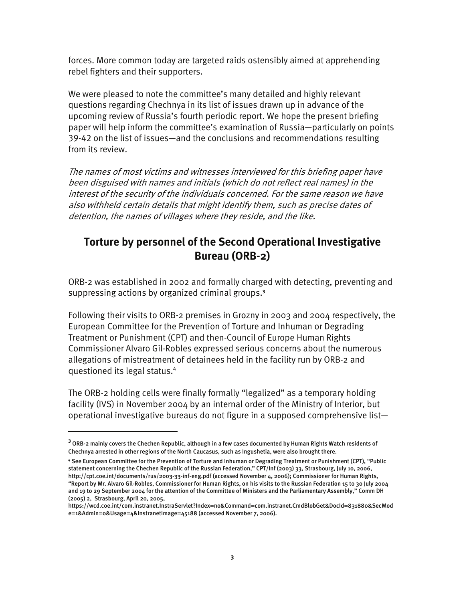forces. More common today are targeted raids ostensibly aimed at apprehending rebel fighters and their supporters.

We were pleased to note the committee's many detailed and highly relevant questions regarding Chechnya in its list of issues drawn up in advance of the upcoming review of Russia's fourth periodic report. We hope the present briefing paper will help inform the committee's examination of Russia—particularly on points 39-42 on the list of issues—and the conclusions and recommendations resulting from its review.

The names of most victims and witnesses interviewed for this briefing paper have been disguised with names and initials (which do not reflect real names) in the interest of the security of the individuals concerned. For the same reason we have also withheld certain details that might identify them, such as precise dates of detention, the names of villages where they reside, and the like.

# **Torture by personnel of the Second Operational Investigative Bureau (ORB-2)**

ORB-2 was established in 2002 and formally charged with detecting, preventing and suppressing actions by organized criminal groups.**<sup>3</sup>**

Following their visits to ORB-2 premises in Grozny in 2003 and 2004 respectively, the European Committee for the Prevention of Torture and Inhuman or Degrading Treatment or Punishment (CPT) and then-Council of Europe Human Rights Commissioner Alvaro Gil-Robles expressed serious concerns about the numerous allegations of mistreatment of detainees held in the facility run by ORB-2 and questioned its legal status.<sup>4</sup>

The ORB-2 holding cells were finally formally "legalized" as a temporary holding facility (IVS) in November 2004 by an internal order of the Ministry of Interior, but operational investigative bureaus do not figure in a supposed comprehensive list—

-

**<sup>3</sup>** ORB-2 mainly covers the Chechen Republic, although in a few cases documented by Human Rights Watch residents of Chechnya arrested in other regions of the North Caucasus, such as Ingushetia, were also brought there.

<sup>4</sup> See European Committee for the Prevention of Torture and Inhuman or Degrading Treatment or Punishment (CPT), "Public statement concerning the Chechen Republic of the Russian Federation," CPT/Inf (2003) 33, Strasbourg, July 10, 2006, http://cpt.coe.int/documents/rus/2003-33-inf-eng.pdf (accessed November 4, 2006); Commissioner for Human Rights, "Report by Mr. Alvaro Gil-Robles, Commissioner for Human Rights, on his visits to the Russian Federation 15 to 30 July 2004 and 19 to 29 September 2004 for the attention of the Committee of Ministers and the Parliamentary Assembly," Comm DH (2005) 2, Strasbourg, April 20, 2005,

https://wcd.coe.int/com.instranet.InstraServlet?Index=no&Command=com.instranet.CmdBlobGet&DocId=831880&SecMod e=1&Admin=0&Usage=4&InstranetImage=45188 (accessed November 7, 2006).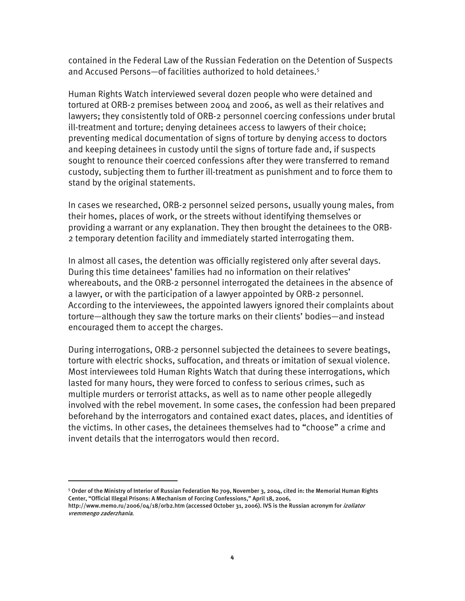contained in the Federal Law of the Russian Federation on the Detention of Suspects and Accused Persons-of facilities authorized to hold detainees.<sup>5</sup>

Human Rights Watch interviewed several dozen people who were detained and tortured at ORB-2 premises between 2004 and 2006, as well as their relatives and lawyers; they consistently told of ORB-2 personnel coercing confessions under brutal ill-treatment and torture; denying detainees access to lawyers of their choice; preventing medical documentation of signs of torture by denying access to doctors and keeping detainees in custody until the signs of torture fade and, if suspects sought to renounce their coerced confessions after they were transferred to remand custody, subjecting them to further ill-treatment as punishment and to force them to stand by the original statements.

In cases we researched, ORB-2 personnel seized persons, usually young males, from their homes, places of work, or the streets without identifying themselves or providing a warrant or any explanation. They then brought the detainees to the ORB-2 temporary detention facility and immediately started interrogating them.

In almost all cases, the detention was officially registered only after several days. During this time detainees' families had no information on their relatives' whereabouts, and the ORB-2 personnel interrogated the detainees in the absence of a lawyer, or with the participation of a lawyer appointed by ORB-2 personnel. According to the interviewees, the appointed lawyers ignored their complaints about torture—although they saw the torture marks on their clients' bodies—and instead encouraged them to accept the charges.

During interrogations, ORB-2 personnel subjected the detainees to severe beatings, torture with electric shocks, suffocation, and threats or imitation of sexual violence. Most interviewees told Human Rights Watch that during these interrogations, which lasted for many hours, they were forced to confess to serious crimes, such as multiple murders or terrorist attacks, as well as to name other people allegedly involved with the rebel movement. In some cases, the confession had been prepared beforehand by the interrogators and contained exact dates, places, and identities of the victims. In other cases, the detainees themselves had to "choose" a crime and invent details that the interrogators would then record.

5 Order of the Ministry of Interior of Russian Federation No 709, November 3, 2004, cited in: the Memorial Human Rights Center, "Official Illegal Prisons: A Mechanism of Forcing Confessions," April 18, 2006,

http://www.memo.ru/2006/04/18/orb2.htm (accessed October 31, 2006). IVS is the Russian acronym for izoliator vremmengo zaderzhania.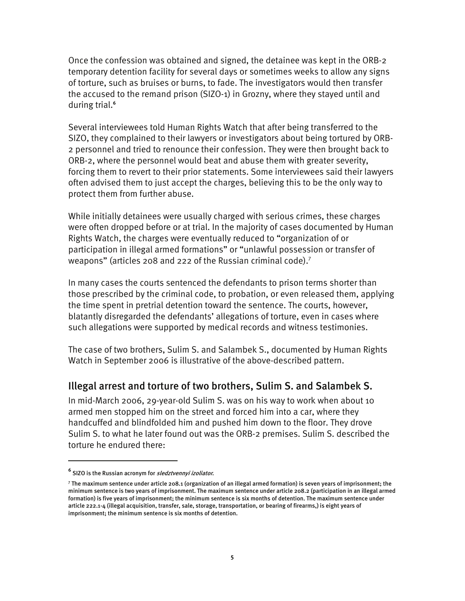Once the confession was obtained and signed, the detainee was kept in the ORB-2 temporary detention facility for several days or sometimes weeks to allow any signs of torture, such as bruises or burns, to fade. The investigators would then transfer the accused to the remand prison (SIZO-1) in Grozny, where they stayed until and during trial.**<sup>6</sup>**

Several interviewees told Human Rights Watch that after being transferred to the SIZO, they complained to their lawyers or investigators about being tortured by ORB-2 personnel and tried to renounce their confession. They were then brought back to ORB-2, where the personnel would beat and abuse them with greater severity, forcing them to revert to their prior statements. Some interviewees said their lawyers often advised them to just accept the charges, believing this to be the only way to protect them from further abuse.

While initially detainees were usually charged with serious crimes, these charges were often dropped before or at trial. In the majority of cases documented by Human Rights Watch, the charges were eventually reduced to "organization of or participation in illegal armed formations" or "unlawful possession or transfer of weapons" (articles 208 and 222 of the Russian criminal code).<sup>7</sup>

In many cases the courts sentenced the defendants to prison terms shorter than those prescribed by the criminal code, to probation, or even released them, applying the time spent in pretrial detention toward the sentence. The courts, however, blatantly disregarded the defendants' allegations of torture, even in cases where such allegations were supported by medical records and witness testimonies.

The case of two brothers, Sulim S. and Salambek S., documented by Human Rights Watch in September 2006 is illustrative of the above-described pattern.

#### Illegal arrest and torture of two brothers, Sulim S. and Salambek S.

In mid-March 2006, 29-year-old Sulim S. was on his way to work when about 10 armed men stopped him on the street and forced him into a car, where they handcuffed and blindfolded him and pushed him down to the floor. They drove Sulim S. to what he later found out was the ORB-2 premises. Sulim S. described the torture he endured there:

**<sup>6</sup>** SIZO is the Russian acronym for sledztvennyi izoliator.

<sup>7</sup> The maximum sentence under article 208.1 (0rganization of an illegal armed formation) is seven years of imprisonment; the minimum sentence is two years of imprisonment. The maximum sentence under article 208.2 (participation in an illegal armed formation) is five years of imprisonment; the minimum sentence is six months of detention. The maximum sentence under article 222.1-4 (illegal acquisition, transfer, sale, storage, transportation, or bearing of firearms,) is eight years of imprisonment; the minimum sentence is six months of detention.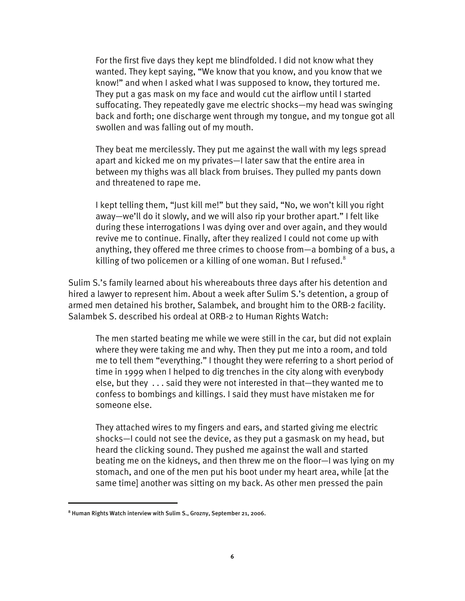For the first five days they kept me blindfolded. I did not know what they wanted. They kept saying, "We know that you know, and you know that we know!" and when I asked what I was supposed to know, they tortured me. They put a gas mask on my face and would cut the airflow until I started suffocating. They repeatedly gave me electric shocks—my head was swinging back and forth; one discharge went through my tongue, and my tongue got all swollen and was falling out of my mouth.

They beat me mercilessly. They put me against the wall with my legs spread apart and kicked me on my privates—I later saw that the entire area in between my thighs was all black from bruises. They pulled my pants down and threatened to rape me.

I kept telling them, "Just kill me!" but they said, "No, we won't kill you right away—we'll do it slowly, and we will also rip your brother apart." I felt like during these interrogations I was dying over and over again, and they would revive me to continue. Finally, after they realized I could not come up with anything, they offered me three crimes to choose from—a bombing of a bus, a killing of two policemen or a killing of one woman. But I refused.<sup>8</sup>

Sulim S.'s family learned about his whereabouts three days after his detention and hired a lawyer to represent him. About a week after Sulim S.'s detention, a group of armed men detained his brother, Salambek, and brought him to the ORB-2 facility. Salambek S. described his ordeal at ORB-2 to Human Rights Watch:

The men started beating me while we were still in the car, but did not explain where they were taking me and why. Then they put me into a room, and told me to tell them "everything." I thought they were referring to a short period of time in 1999 when I helped to dig trenches in the city along with everybody else, but they . . . said they were not interested in that—they wanted me to confess to bombings and killings. I said they must have mistaken me for someone else.

They attached wires to my fingers and ears, and started giving me electric shocks—I could not see the device, as they put a gasmask on my head, but heard the clicking sound. They pushed me against the wall and started beating me on the kidneys, and then threw me on the floor—I was lying on my stomach, and one of the men put his boot under my heart area, while [at the same time] another was sitting on my back. As other men pressed the pain

<sup>8</sup> Human Rights Watch interview with Sulim S., Grozny, September 21, 2006.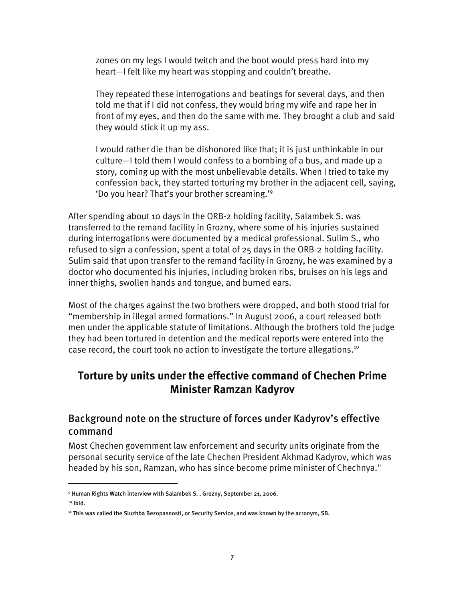zones on my legs I would twitch and the boot would press hard into my heart—I felt like my heart was stopping and couldn't breathe.

They repeated these interrogations and beatings for several days, and then told me that if I did not confess, they would bring my wife and rape her in front of my eyes, and then do the same with me. They brought a club and said they would stick it up my ass.

I would rather die than be dishonored like that; it is just unthinkable in our culture—I told them I would confess to a bombing of a bus, and made up a story, coming up with the most unbelievable details. When I tried to take my confession back, they started torturing my brother in the adjacent cell, saying, 'Do you hear? That's your brother screaming.'9

After spending about 10 days in the ORB-2 holding facility, Salambek S. was transferred to the remand facility in Grozny, where some of his injuries sustained during interrogations were documented by a medical professional. Sulim S., who refused to sign a confession, spent a total of 25 days in the ORB-2 holding facility. Sulim said that upon transfer to the remand facility in Grozny, he was examined by a doctor who documented his injuries, including broken ribs, bruises on his legs and inner thighs, swollen hands and tongue, and burned ears.

Most of the charges against the two brothers were dropped, and both stood trial for "membership in illegal armed formations." In August 2006, a court released both men under the applicable statute of limitations. Although the brothers told the judge they had been tortured in detention and the medical reports were entered into the case record, the court took no action to investigate the torture allegations.10

# **Torture by units under the effective command of Chechen Prime Minister Ramzan Kadyrov**

### Background note on the structure of forces under Kadyrov's effective command

Most Chechen government law enforcement and security units originate from the personal security service of the late Chechen President Akhmad Kadyrov, which was headed by his son, Ramzan, who has since become prime minister of Chechnya.<sup>11</sup>

-

<sup>9</sup> Human Rights Watch interview with Salambek S. , Grozny, September 21, 2006.

<sup>10</sup> Ibid.

<sup>11</sup> This was called the Sluzhba Bezopasnosti, or Security Service, and was known by the acronym, SB.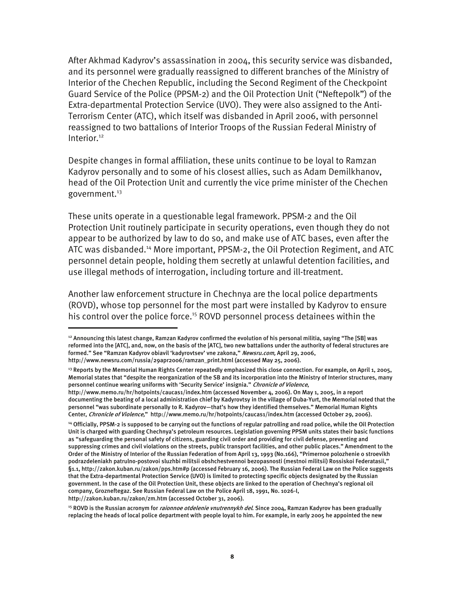After Akhmad Kadyrov's assassination in 2004, this security service was disbanded, and its personnel were gradually reassigned to different branches of the Ministry of Interior of the Chechen Republic, including the Second Regiment of the Checkpoint Guard Service of the Police (PPSM-2) and the Oil Protection Unit ("Neftepolk") of the Extra-departmental Protection Service (UVO). They were also assigned to the Anti-Terrorism Center (ATC), which itself was disbanded in April 2006, with personnel reassigned to two battalions of Interior Troops of the Russian Federal Ministry of Interior.<sup>12</sup>

Despite changes in formal affiliation, these units continue to be loyal to Ramzan Kadyrov personally and to some of his closest allies, such as Adam Demilkhanov, head of the Oil Protection Unit and currently the vice prime minister of the Chechen government. $^{13}$ 

These units operate in a questionable legal framework. PPSM-2 and the Oil Protection Unit routinely participate in security operations, even though they do not appear to be authorized by law to do so, and make use of ATC bases, even after the ATC was disbanded.14 More important, PPSM-2, the Oil Protection Regiment, and ATC personnel detain people, holding them secretly at unlawful detention facilities, and use illegal methods of interrogation, including torture and ill-treatment.

Another law enforcement structure in Chechnya are the local police departments (ROVD), whose top personnel for the most part were installed by Kadyrov to ensure his control over the police force.<sup>15</sup> ROVD personnel process detainees within the

-

<sup>15</sup> ROVD is the Russian acronym for *raionnoe otdelenie vnutrennykh del*. Since 2004, Ramzan Kadyrov has been gradually replacing the heads of local police department with people loyal to him. For example, in early 2005 he appointed the new

<sup>&</sup>lt;sup>12</sup> Announcing this latest change, Ramzan Kadyrov confirmed the evolution of his personal militia, saying "The [SB] was reformed into the [ATC], and, now, on the basis of the [ATC], two new battalions under the authority of federal structures are formed." See "Ramzan Kadyrov obiavil 'kadyrovtsev' vne zakona," Newsru.com, April 29, 2006, http://www.newsru.com/russia/29apr2006/ramzan\_print.html (accessed May 25, 2006).

<sup>&</sup>lt;sup>13</sup> Reports by the Memorial Human Rights Center repeatedly emphasized this close connection. For example, on April 1, 2005, Memorial states that "despite the reorganization of the SB and its incorporation into the Ministry of Interior structures, many personnel continue wearing uniforms with 'Security Service' insignia." Chronicle of Violence,

http://www.memo.ru/hr/hotpoints/caucas1/index.htm (accessed November 4, 2006). On May 1, 2005, in a report documenting the beating of a local administration chief by Kadyrovtsy in the village of Duba-Yurt, the Memorial noted that the personnel "was subordinate personally to R. Kadyrov—that's how they identified themselves." Memorial Human Rights Center, Chronicle of Violence," http://www.memo.ru/hr/hotpoints/caucas1/index.htm (accessed October 29, 2006).

<sup>14</sup> Officially, PPSM-2 is supposed to be carrying out the functions of regular patrolling and road police, while the Oil Protection Unit is charged with guarding Chechnya's petroleum resources. Legislation governing PPSM units states their basic functions as "safeguarding the personal safety of citizens, guarding civil order and providing for civil defense, preventing and suppressing crimes and civil violations on the streets, public transport facilities, and other public places." Amendment to the Order of the Ministry of Interior of the Russian Federation of from April 13, 1993 (No.166), "Primernoe polozhenie o stroevikh podrazdeleniakh patrulno-postovoi sluzhbi militsii obshchestvennoi bezopasnosti (mestnoi militsii) Rossiskoi Federatasii," §1.1, http://zakon.kuban.ru/zakon/pps.htm#p (accessed February 16, 2006). The Russian Federal Law on the Police suggests that the Extra-departmental Protection Service (UVO) is limited to protecting specific objects designated by the Russian government. In the case of the Oil Protection Unit, these objects are linked to the operation of Chechnya's regional oil company, Grozneftegaz. See Russian Federal Law on the Police April 18, 1991, No. 1026-I, http://zakon.kuban.ru/zakon/zm.htm (accessed October 31, 2006).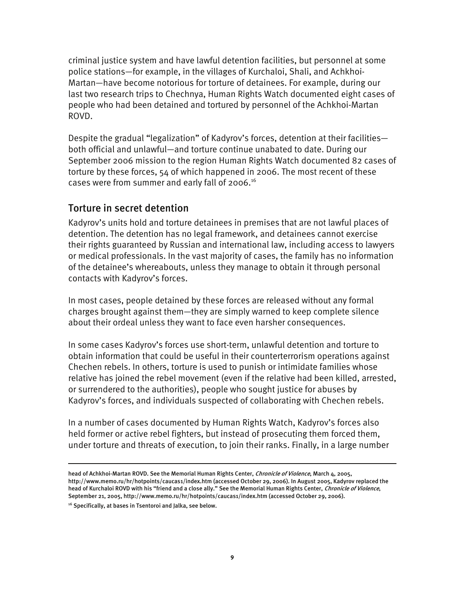criminal justice system and have lawful detention facilities, but personnel at some police stations—for example, in the villages of Kurchaloi, Shali, and Achkhoi-Martan—have become notorious for torture of detainees. For example, during our last two research trips to Chechnya, Human Rights Watch documented eight cases of people who had been detained and tortured by personnel of the Achkhoi-Martan ROVD.

Despite the gradual "legalization" of Kadyrov's forces, detention at their facilities both official and unlawful—and torture continue unabated to date. During our September 2006 mission to the region Human Rights Watch documented 82 cases of torture by these forces, 54 of which happened in 2006. The most recent of these cases were from summer and early fall of 2006.16

#### Torture in secret detention

Kadyrov's units hold and torture detainees in premises that are not lawful places of detention. The detention has no legal framework, and detainees cannot exercise their rights guaranteed by Russian and international law, including access to lawyers or medical professionals. In the vast majority of cases, the family has no information of the detainee's whereabouts, unless they manage to obtain it through personal contacts with Kadyrov's forces.

In most cases, people detained by these forces are released without any formal charges brought against them—they are simply warned to keep complete silence about their ordeal unless they want to face even harsher consequences.

In some cases Kadyrov's forces use short-term, unlawful detention and torture to obtain information that could be useful in their counterterrorism operations against Chechen rebels. In others, torture is used to punish or intimidate families whose relative has joined the rebel movement (even if the relative had been killed, arrested, or surrendered to the authorities), people who sought justice for abuses by Kadyrov's forces, and individuals suspected of collaborating with Chechen rebels.

In a number of cases documented by Human Rights Watch, Kadyrov's forces also held former or active rebel fighters, but instead of prosecuting them forced them, under torture and threats of execution, to join their ranks. Finally, in a large number

head of Achkhoi-Martan ROVD. See the Memorial Human Rights Center, Chronicle of Violence, March 4, 2005, http://www.memo.ru/hr/hotpoints/caucas1/index.htm (accessed October 29, 2006). In August 2005, Kadyrov replaced the head of Kurchaloi ROVD with his "friend and a close ally." See the Memorial Human Rights Center, Chronicle of Violence, September 21, 2005, http://www.memo.ru/hr/hotpoints/caucas1/index.htm (accessed October 29, 2006).

<sup>&</sup>lt;sup>16</sup> Specifically, at bases in Tsentoroi and Jalka, see below.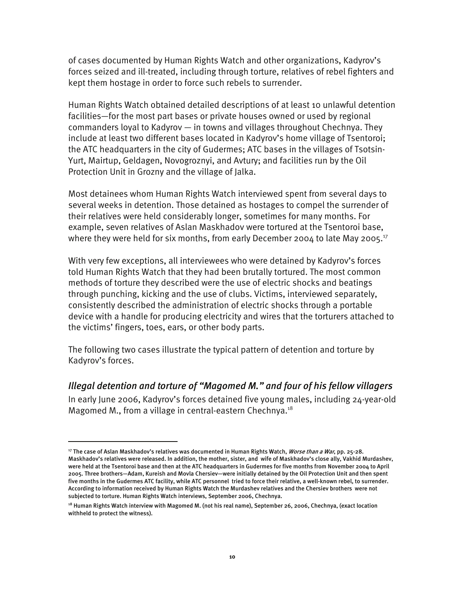of cases documented by Human Rights Watch and other organizations, Kadyrov's forces seized and ill-treated, including through torture, relatives of rebel fighters and kept them hostage in order to force such rebels to surrender.

Human Rights Watch obtained detailed descriptions of at least 10 unlawful detention facilities—for the most part bases or private houses owned or used by regional commanders loyal to Kadyrov — in towns and villages throughout Chechnya. They include at least two different bases located in Kadyrov's home village of Tsentoroi; the ATC headquarters in the city of Gudermes; ATC bases in the villages of Tsotsin-Yurt, Mairtup, Geldagen, Novogroznyi, and Avtury; and facilities run by the Oil Protection Unit in Grozny and the village of Jalka.

Most detainees whom Human Rights Watch interviewed spent from several days to several weeks in detention. Those detained as hostages to compel the surrender of their relatives were held considerably longer, sometimes for many months. For example, seven relatives of Aslan Maskhadov were tortured at the Tsentoroi base, where they were held for six months, from early December 2004 to late May 2005.<sup>17</sup>

With very few exceptions, all interviewees who were detained by Kadyrov's forces told Human Rights Watch that they had been brutally tortured. The most common methods of torture they described were the use of electric shocks and beatings through punching, kicking and the use of clubs. Victims, interviewed separately, consistently described the administration of electric shocks through a portable device with a handle for producing electricity and wires that the torturers attached to the victims' fingers, toes, ears, or other body parts.

The following two cases illustrate the typical pattern of detention and torture by Kadyrov's forces.

#### *Illegal detention and torture of "Magomed M." and four of his fellow villagers*

In early June 2006, Kadyrov's forces detained five young males, including 24-year-old Magomed M., from a village in central-eastern Chechnya.<sup>18</sup>

<sup>&</sup>lt;sup>17</sup> The case of Aslan Maskhadov's relatives was documented in Human Rights Watch, Worse than a War, pp. 25-28. Maskhadov's relatives were released. In addition, the mother, sister, and wife of Maskhadov's close ally, Vakhid Murdashev, were held at the Tsentoroi base and then at the ATC headquarters in Gudermes for five months from November 2004 to April 2005. Three brothers—Adam, Kureish and Movla Chersiev—were initially detained by the Oil Protection Unit and then spent five months in the Gudermes ATC facility, while ATC personnel tried to force their relative, a well-known rebel, to surrender. According to information received by Human Rights Watch the Murdashev relatives and the Chersiev brothers were not subjected to torture. Human Rights Watch interviews, September 2006, Chechnya.

<sup>&</sup>lt;sup>18</sup> Human Rights Watch interview with Magomed M. (not his real name), September 26, 2006, Chechnya, (exact location withheld to protect the witness).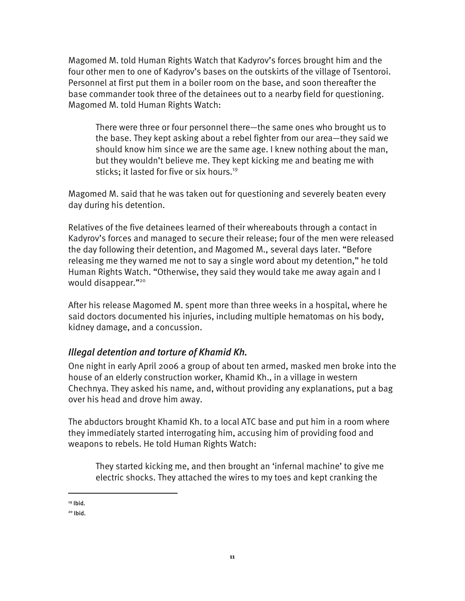Magomed M. told Human Rights Watch that Kadyrov's forces brought him and the four other men to one of Kadyrov's bases on the outskirts of the village of Tsentoroi. Personnel at first put them in a boiler room on the base, and soon thereafter the base commander took three of the detainees out to a nearby field for questioning. Magomed M. told Human Rights Watch:

There were three or four personnel there—the same ones who brought us to the base. They kept asking about a rebel fighter from our area—they said we should know him since we are the same age. I knew nothing about the man, but they wouldn't believe me. They kept kicking me and beating me with sticks; it lasted for five or six hours.<sup>19</sup>

Magomed M. said that he was taken out for questioning and severely beaten every day during his detention.

Relatives of the five detainees learned of their whereabouts through a contact in Kadyrov's forces and managed to secure their release; four of the men were released the day following their detention, and Magomed M., several days later. "Before releasing me they warned me not to say a single word about my detention," he told Human Rights Watch. "Otherwise, they said they would take me away again and I would disappear."20

After his release Magomed M. spent more than three weeks in a hospital, where he said doctors documented his injuries, including multiple hematomas on his body, kidney damage, and a concussion.

#### *Illegal detention and torture of Khamid Kh.*

One night in early April 2006 a group of about ten armed, masked men broke into the house of an elderly construction worker, Khamid Kh., in a village in western Chechnya. They asked his name, and, without providing any explanations, put a bag over his head and drove him away.

The abductors brought Khamid Kh. to a local ATC base and put him in a room where they immediately started interrogating him, accusing him of providing food and weapons to rebels. He told Human Rights Watch:

They started kicking me, and then brought an 'infernal machine' to give me electric shocks. They attached the wires to my toes and kept cranking the

j  $19$  lhid.

 $20$  Ibid.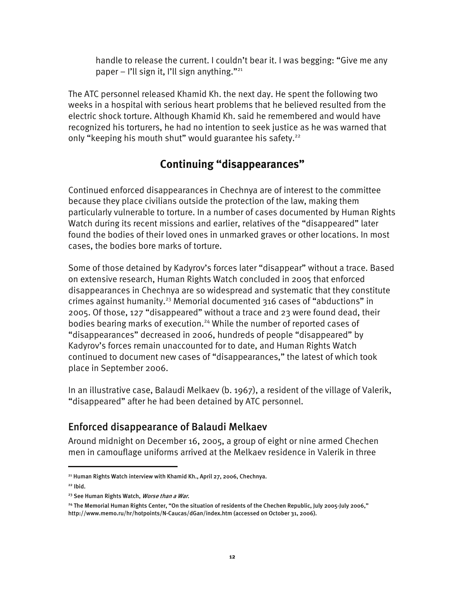handle to release the current. I couldn't bear it. I was begging: "Give me any paper – I'll sign it, I'll sign anything."<sup>21</sup>

The ATC personnel released Khamid Kh. the next day. He spent the following two weeks in a hospital with serious heart problems that he believed resulted from the electric shock torture. Although Khamid Kh. said he remembered and would have recognized his torturers, he had no intention to seek justice as he was warned that only "keeping his mouth shut" would guarantee his safety.<sup>22</sup>

## **Continuing "disappearances"**

Continued enforced disappearances in Chechnya are of interest to the committee because they place civilians outside the protection of the law, making them particularly vulnerable to torture. In a number of cases documented by Human Rights Watch during its recent missions and earlier, relatives of the "disappeared" later found the bodies of their loved ones in unmarked graves or other locations. In most cases, the bodies bore marks of torture.

Some of those detained by Kadyrov's forces later "disappear" without a trace. Based on extensive research, Human Rights Watch concluded in 2005 that enforced disappearances in Chechnya are so widespread and systematic that they constitute crimes against humanity.<sup>23</sup> Memorial documented 316 cases of "abductions" in 2005. Of those, 127 "disappeared" without a trace and 23 were found dead, their bodies bearing marks of execution.<sup>24</sup> While the number of reported cases of "disappearances" decreased in 2006, hundreds of people "disappeared" by Kadyrov's forces remain unaccounted for to date, and Human Rights Watch continued to document new cases of "disappearances," the latest of which took place in September 2006.

In an illustrative case, Balaudi Melkaev (b. 1967), a resident of the village of Valerik, "disappeared" after he had been detained by ATC personnel.

### Enforced disappearance of Balaudi Melkaev

Around midnight on December 16, 2005, a group of eight or nine armed Chechen men in camouflage uniforms arrived at the Melkaev residence in Valerik in three

j <sup>21</sup> Human Rights Watch interview with Khamid Kh., April 27, 2006, Chechnya.

 $22$  Ibid.

<sup>&</sup>lt;sup>23</sup> See Human Rights Watch, Worse than a War.

<sup>&</sup>lt;sup>24</sup> The Memorial Human Rights Center, "On the situation of residents of the Chechen Republic, July 2005-July 2006," http://www.memo.ru/hr/hotpoints/N-Caucas/dGan/index.htm (accessed on October 31, 2006).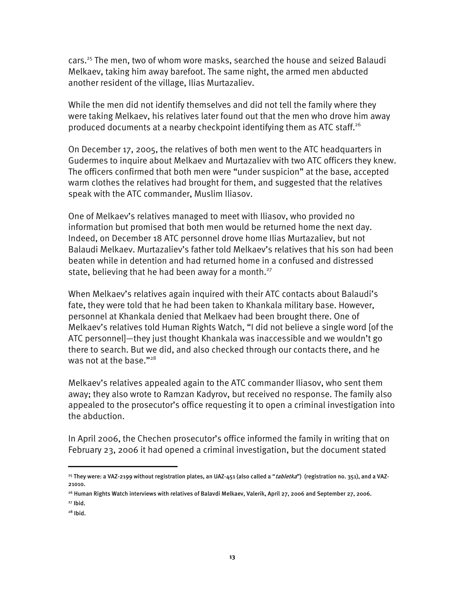cars.<sup>25</sup> The men, two of whom wore masks, searched the house and seized Balaudi Melkaev, taking him away barefoot. The same night, the armed men abducted another resident of the village, Ilias Murtazaliev.

While the men did not identify themselves and did not tell the family where they were taking Melkaev, his relatives later found out that the men who drove him away produced documents at a nearby checkpoint identifying them as ATC staff.<sup>26</sup>

On December 17, 2005, the relatives of both men went to the ATC headquarters in Gudermes to inquire about Melkaev and Murtazaliev with two ATC officers they knew. The officers confirmed that both men were "under suspicion" at the base, accepted warm clothes the relatives had brought for them, and suggested that the relatives speak with the ATC commander, Muslim Iliasov.

One of Melkaev's relatives managed to meet with Iliasov, who provided no information but promised that both men would be returned home the next day. Indeed, on December 18 ATC personnel drove home Ilias Murtazaliev, but not Balaudi Melkaev. Murtazaliev's father told Melkaev's relatives that his son had been beaten while in detention and had returned home in a confused and distressed state, believing that he had been away for a month.<sup>27</sup>

When Melkaev's relatives again inquired with their ATC contacts about Balaudi's fate, they were told that he had been taken to Khankala military base. However, personnel at Khankala denied that Melkaev had been brought there. One of Melkaev's relatives told Human Rights Watch, "I did not believe a single word [of the ATC personnel]—they just thought Khankala was inaccessible and we wouldn't go there to search. But we did, and also checked through our contacts there, and he was not at the base."<sup>28</sup>

Melkaev's relatives appealed again to the ATC commander Iliasov, who sent them away; they also wrote to Ramzan Kadyrov, but received no response. The family also appealed to the prosecutor's office requesting it to open a criminal investigation into the abduction.

In April 2006, the Chechen prosecutor's office informed the family in writing that on February 23, 2006 it had opened a criminal investigation, but the document stated

j <sup>25</sup> They were: a VAZ-2199 without registration plates, an UAZ-451 (also called a "tabletka") (registration no. 351), and a VAZ-21010.

<sup>26</sup> Human Rights Watch interviews with relatives of Balavdi Melkaev, Valerik, April 27, 2006 and September 27, 2006.

 $27$  Ibid.

 $28$  Ibid.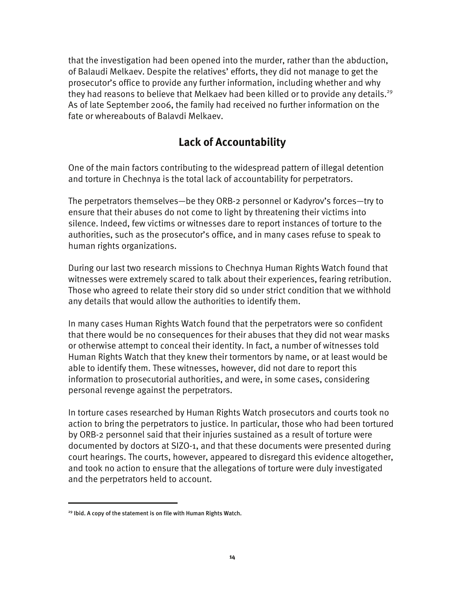that the investigation had been opened into the murder, rather than the abduction, of Balaudi Melkaev. Despite the relatives' efforts, they did not manage to get the prosecutor's office to provide any further information, including whether and why they had reasons to believe that Melkaev had been killed or to provide any details.<sup>29</sup> As of late September 2006, the family had received no further information on the fate or whereabouts of Balavdi Melkaev.

### **Lack of Accountability**

One of the main factors contributing to the widespread pattern of illegal detention and torture in Chechnya is the total lack of accountability for perpetrators.

The perpetrators themselves—be they ORB-2 personnel or Kadyrov's forces—try to ensure that their abuses do not come to light by threatening their victims into silence. Indeed, few victims or witnesses dare to report instances of torture to the authorities, such as the prosecutor's office, and in many cases refuse to speak to human rights organizations.

During our last two research missions to Chechnya Human Rights Watch found that witnesses were extremely scared to talk about their experiences, fearing retribution. Those who agreed to relate their story did so under strict condition that we withhold any details that would allow the authorities to identify them.

In many cases Human Rights Watch found that the perpetrators were so confident that there would be no consequences for their abuses that they did not wear masks or otherwise attempt to conceal their identity. In fact, a number of witnesses told Human Rights Watch that they knew their tormentors by name, or at least would be able to identify them. These witnesses, however, did not dare to report this information to prosecutorial authorities, and were, in some cases, considering personal revenge against the perpetrators.

In torture cases researched by Human Rights Watch prosecutors and courts took no action to bring the perpetrators to justice. In particular, those who had been tortured by ORB-2 personnel said that their injuries sustained as a result of torture were documented by doctors at SIZO-1, and that these documents were presented during court hearings. The courts, however, appeared to disregard this evidence altogether, and took no action to ensure that the allegations of torture were duly investigated and the perpetrators held to account.

<sup>&</sup>lt;sup>29</sup> Ibid. A copy of the statement is on file with Human Rights Watch.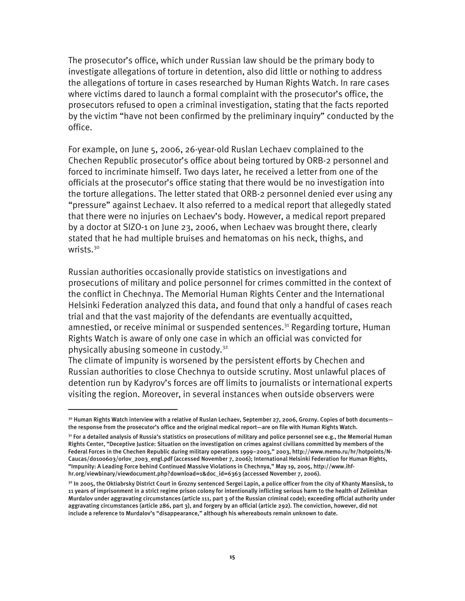The prosecutor's office, which under Russian law should be the primary body to investigate allegations of torture in detention, also did little or nothing to address the allegations of torture in cases researched by Human Rights Watch. In rare cases where victims dared to launch a formal complaint with the prosecutor's office, the prosecutors refused to open a criminal investigation, stating that the facts reported by the victim "have not been confirmed by the preliminary inquiry" conducted by the office.

For example, on June 5, 2006, 26-year-old Ruslan Lechaev complained to the Chechen Republic prosecutor's office about being tortured by ORB-2 personnel and forced to incriminate himself. Two days later, he received a letter from one of the officials at the prosecutor's office stating that there would be no investigation into the torture allegations. The letter stated that ORB-2 personnel denied ever using any "pressure" against Lechaev. It also referred to a medical report that allegedly stated that there were no injuries on Lechaev's body. However, a medical report prepared by a doctor at SIZO-1 on June 23, 2006, when Lechaev was brought there, clearly stated that he had multiple bruises and hematomas on his neck, thighs, and wrists. $30$ 

Russian authorities occasionally provide statistics on investigations and prosecutions of military and police personnel for crimes committed in the context of the conflict in Chechnya. The Memorial Human Rights Center and the International Helsinki Federation analyzed this data, and found that only a handful of cases reach trial and that the vast majority of the defendants are eventually acquitted, amnestied, or receive minimal or suspended sentences.<sup>31</sup> Regarding torture, Human Rights Watch is aware of only one case in which an official was convicted for physically abusing someone in custody.32

The climate of impunity is worsened by the persistent efforts by Chechen and Russian authorities to close Chechnya to outside scrutiny. Most unlawful places of detention run by Kadyrov's forces are off limits to journalists or international experts visiting the region. Moreover, in several instances when outside observers were

<sup>30</sup> Human Rights Watch interview with a relative of Ruslan Lechaev, September 27, 2006, Grozny. Copies of both documents the response from the prosecutor's office and the original medical report—are on file with Human Rights Watch.

 $31$  For a detailed analysis of Russia's statistics on prosecutions of military and police personnel see e.g., the Memorial Human Rights Center, "Deceptive Justice: Situation on the investigation on crimes against civilians committed by members of the Federal Forces in the Chechen Republic during military operations 1999–2003," 2003, http://www.memo.ru/hr/hotpoints/N-Caucas/do100603/orlov\_2003\_engl.pdf (accessed November 7, 2006); International Helsinki Federation for Human Rights, "Impunity: A Leading Force behind Continued Massive Violations in Chechnya," May 19, 2005, http://www.ihfhr.org/viewbinary/viewdocument.php?download=1&doc\_id=6363 (accessed November 7, 2006).

<sup>32</sup> In 2005, the Oktiabrsky District Court in Grozny sentenced Sergei Lapin, a police officer from the city of Khanty Mansiisk, to 11 years of imprisonment in a strict regime prison colony for intentionally inflicting serious harm to the health of Zelimkhan Murdalov under aggravating circumstances (article 111, part 3 of the Russian criminal code); exceeding official authority under aggravating circumstances (article 286, part 3), and forgery by an official (article 292). The conviction, however, did not include a reference to Murdalov's "disappearance," although his whereabouts remain unknown to date.